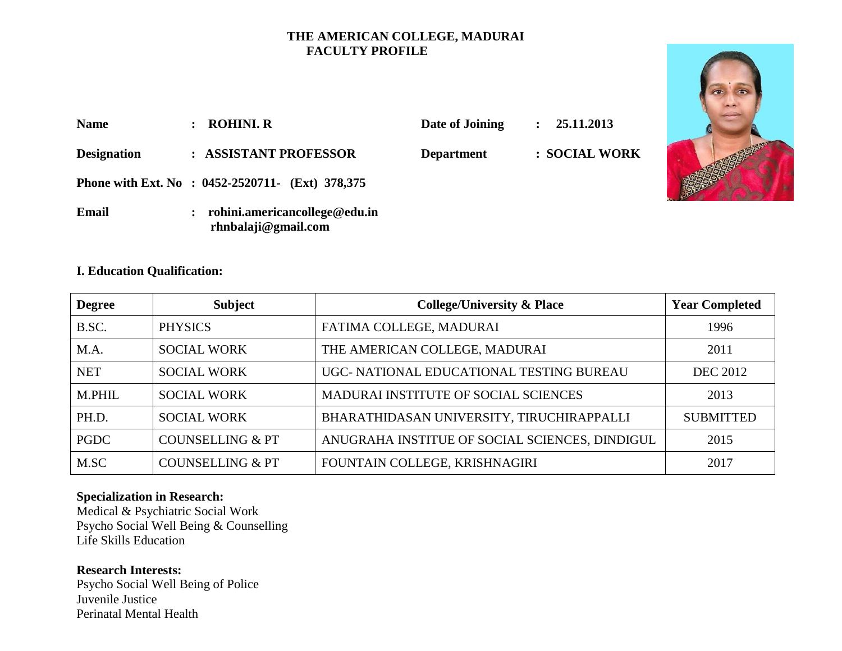### **THE AMERICAN COLLEGE, MADURAI FACULTY PROFILE**

| <b>Name</b>        | <b>ROHINI. R</b>                                     | Date of Joining   | 25.11.2013<br>$\ddot{\cdot}$ |  |
|--------------------|------------------------------------------------------|-------------------|------------------------------|--|
| <b>Designation</b> | : ASSISTANT PROFESSOR                                | <b>Department</b> | : SOCIAL WORK                |  |
|                    | Phone with Ext. No : 0452-2520711- (Ext) 378,375     |                   |                              |  |
| Email              | rohini.americancollege@edu.in<br>rhnbalaji@gmail.com |                   |                              |  |

### **I. Education Qualification:**

| <b>Degree</b> | <b>Subject</b>              | <b>College/University &amp; Place</b>          | <b>Year Completed</b> |
|---------------|-----------------------------|------------------------------------------------|-----------------------|
| B.SC.         | <b>PHYSICS</b>              | FATIMA COLLEGE, MADURAI                        | 1996                  |
| M.A.          | <b>SOCIAL WORK</b>          | THE AMERICAN COLLEGE, MADURAI                  | 2011                  |
| <b>NET</b>    | <b>SOCIAL WORK</b>          | UGC- NATIONAL EDUCATIONAL TESTING BUREAU       | <b>DEC 2012</b>       |
| M.PHIL        | <b>SOCIAL WORK</b>          | MADURAI INSTITUTE OF SOCIAL SCIENCES           | 2013                  |
| PH.D.         | <b>SOCIAL WORK</b>          | BHARATHIDASAN UNIVERSITY, TIRUCHIRAPPALLI      | <b>SUBMITTED</b>      |
| <b>PGDC</b>   | <b>COUNSELLING &amp; PT</b> | ANUGRAHA INSTITUE OF SOCIAL SCIENCES, DINDIGUL | 2015                  |
| M.SC          | <b>COUNSELLING &amp; PT</b> | FOUNTAIN COLLEGE, KRISHNAGIRI                  | 2017                  |

### **Specialization in Research:**

Medical & Psychiatric Social Work Psycho Social Well Being & Counselling Life Skills Education

### **Research Interests:**

Psycho Social Well Being of Police Juvenile Justice Perinatal Mental Health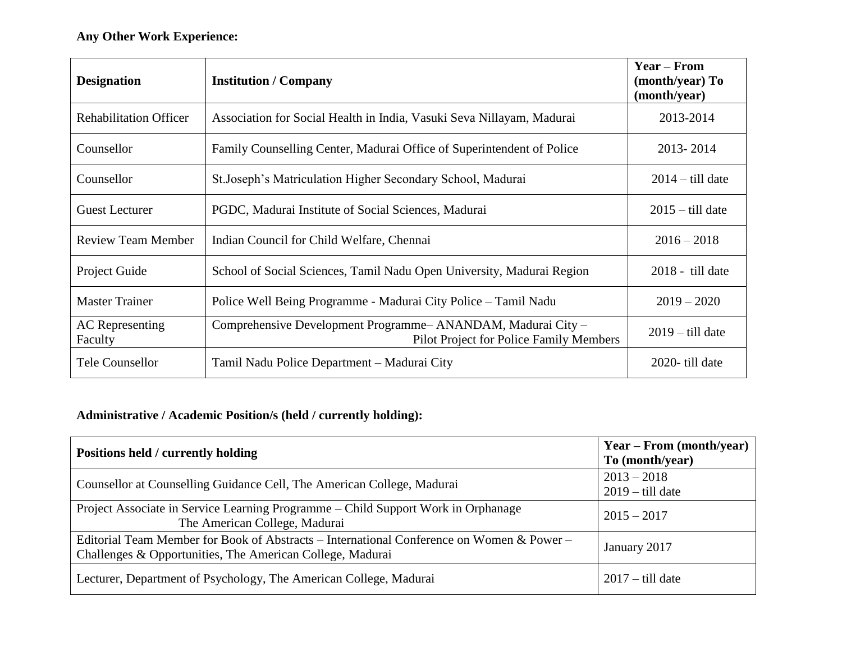| <b>Designation</b>                | <b>Institution / Company</b>                                                                           | <b>Year – From</b><br>(month/year) To<br>(month/year) |
|-----------------------------------|--------------------------------------------------------------------------------------------------------|-------------------------------------------------------|
| <b>Rehabilitation Officer</b>     | Association for Social Health in India, Vasuki Seva Nillayam, Madurai                                  | 2013-2014                                             |
| Counsellor                        | Family Counselling Center, Madurai Office of Superintendent of Police                                  | 2013-2014                                             |
| Counsellor                        | St. Joseph's Matriculation Higher Secondary School, Madurai                                            | $2014 -$ till date                                    |
| <b>Guest Lecturer</b>             | PGDC, Madurai Institute of Social Sciences, Madurai                                                    | $2015 -$ till date                                    |
| <b>Review Team Member</b>         | Indian Council for Child Welfare, Chennai                                                              | $2016 - 2018$                                         |
| Project Guide                     | School of Social Sciences, Tamil Nadu Open University, Madurai Region                                  | $2018 -$ till date                                    |
| <b>Master Trainer</b>             | Police Well Being Programme - Madurai City Police – Tamil Nadu                                         | $2019 - 2020$                                         |
| <b>AC</b> Representing<br>Faculty | Comprehensive Development Programme-ANANDAM, Madurai City -<br>Pilot Project for Police Family Members | $2019 -$ till date                                    |
| <b>Tele Counsellor</b>            | Tamil Nadu Police Department – Madurai City                                                            | 2020-till date                                        |

# **Administrative / Academic Position/s (held / currently holding):**

| Positions held / currently holding                                                                                                                     | Year – From (month/year)<br>To (month/year) |
|--------------------------------------------------------------------------------------------------------------------------------------------------------|---------------------------------------------|
| Counsellor at Counselling Guidance Cell, The American College, Madurai                                                                                 | $2013 - 2018$<br>$2019 -$ till date         |
| Project Associate in Service Learning Programme – Child Support Work in Orphanage<br>The American College, Madurai                                     | $2015 - 2017$                               |
| Editorial Team Member for Book of Abstracts – International Conference on Women & Power –<br>Challenges & Opportunities, The American College, Madurai | January 2017                                |
| Lecturer, Department of Psychology, The American College, Madurai                                                                                      | $2017 -$ till date                          |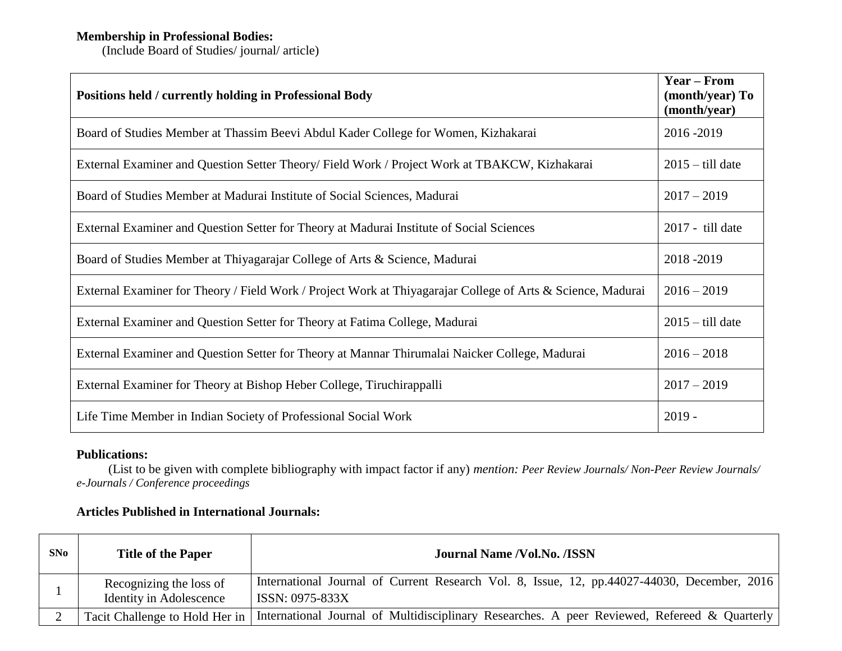### **Membership in Professional Bodies:**

(Include Board of Studies/ journal/ article)

| Positions held / currently holding in Professional Body                                                     | <b>Year – From</b><br>(month/year) To<br>(month/year) |
|-------------------------------------------------------------------------------------------------------------|-------------------------------------------------------|
| Board of Studies Member at Thassim Beevi Abdul Kader College for Women, Kizhakarai                          | 2016-2019                                             |
| External Examiner and Question Setter Theory/Field Work / Project Work at TBAKCW, Kizhakarai                | $2015 -$ till date                                    |
| Board of Studies Member at Madurai Institute of Social Sciences, Madurai                                    | $2017 - 2019$                                         |
| External Examiner and Question Setter for Theory at Madurai Institute of Social Sciences                    | 2017 - till date                                      |
| Board of Studies Member at Thiyagarajar College of Arts & Science, Madurai                                  | 2018-2019                                             |
| External Examiner for Theory / Field Work / Project Work at Thiyagarajar College of Arts & Science, Madurai | $2016 - 2019$                                         |
| External Examiner and Question Setter for Theory at Fatima College, Madurai                                 | $2015 -$ till date                                    |
| External Examiner and Question Setter for Theory at Mannar Thirumalai Naicker College, Madurai              | $2016 - 2018$                                         |
| External Examiner for Theory at Bishop Heber College, Tiruchirappalli                                       | $2017 - 2019$                                         |
| Life Time Member in Indian Society of Professional Social Work                                              | $2019 -$                                              |

## **Publications:**

 (List to be given with complete bibliography with impact factor if any) *mention: Peer Review Journals/ Non-Peer Review Journals/ e-Journals / Conference proceedings*

## **Articles Published in International Journals:**

| SNo | <b>Title of the Paper</b>                                 | <b>Journal Name /Vol.No. /ISSN</b>                                                                              |
|-----|-----------------------------------------------------------|-----------------------------------------------------------------------------------------------------------------|
|     | Recognizing the loss of<br><b>Identity in Adolescence</b> | International Journal of Current Research Vol. 8, Issue, 12, pp. 44027-44030, December, 2016<br>ISSN: 0975-833X |
|     | Tacit Challenge to Hold Her in                            | International Journal of Multidisciplinary Researches. A peer Reviewed, Refereed & Quarterly                    |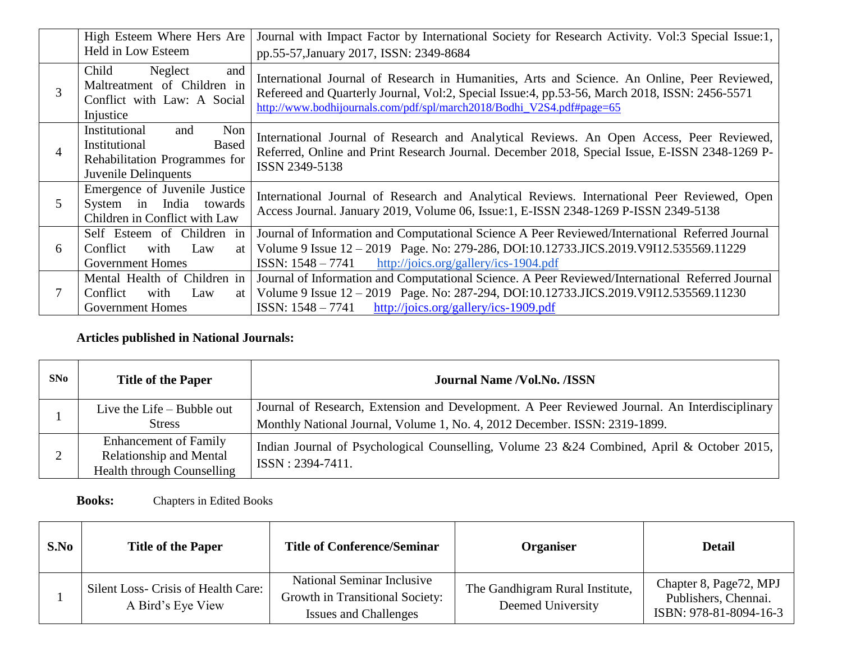|                | High Esteem Where Hers Are<br>Held in Low Esteem                                                               | Journal with Impact Factor by International Society for Research Activity. Vol:3 Special Issue:1,<br>pp.55-57, January 2017, ISSN: 2349-8684                                                                                                                           |  |
|----------------|----------------------------------------------------------------------------------------------------------------|------------------------------------------------------------------------------------------------------------------------------------------------------------------------------------------------------------------------------------------------------------------------|--|
| 3              | Child<br>Neglect<br>and<br>Maltreatment of Children in<br>Conflict with Law: A Social<br>Injustice             | International Journal of Research in Humanities, Arts and Science. An Online, Peer Reviewed,<br>Refereed and Quarterly Journal, Vol:2, Special Issue:4, pp.53-56, March 2018, ISSN: 2456-5571<br>http://www.bodhijournals.com/pdf/spl/march2018/Bodhi_V2S4.pdf#page=65 |  |
| $\overline{4}$ | Institutional<br>Non<br>and<br>Institutional<br>Based<br>Rehabilitation Programmes for<br>Juvenile Delinquents | International Journal of Research and Analytical Reviews. An Open Access, Peer Reviewed,<br>Referred, Online and Print Research Journal. December 2018, Special Issue, E-ISSN 2348-1269 P-<br>ISSN 2349-5138                                                           |  |
| 5              | Emergence of Juvenile Justice<br>System in India towards<br>Children in Conflict with Law                      | International Journal of Research and Analytical Reviews. International Peer Reviewed, Open<br>Access Journal. January 2019, Volume 06, Issue: 1, E-ISSN 2348-1269 P-ISSN 2349-5138                                                                                    |  |
| 6              | Self Esteem of Children in<br>with<br>Conflict<br>Law<br>at l<br><b>Government Homes</b>                       | Journal of Information and Computational Science A Peer Reviewed/International Referred Journal<br>Volume 9 Issue 12 - 2019 Page. No: 279-286, DOI:10.12733.JICS.2019.V9I12.535569.11229<br>$ISSN: 1548 - 7741$<br>http://joics.org/gallery/ics-1904.pdf               |  |
|                | Mental Health of Children in<br>Conflict<br>with<br>Law<br><b>Government Homes</b>                             | Journal of Information and Computational Science. A Peer Reviewed/International Referred Journal<br>at   Volume 9 Issue $12 - 2019$ Page. No: 287-294, DOI:10.12733.JICS.2019.V9I12.535569.11230<br>$ISSN: 1548 - 7741$<br>http://joics.org/gallery/ics-1909.pdf       |  |

## **Articles published in National Journals:**

| SN0 | <b>Title of the Paper</b>                                                                    | <b>Journal Name /Vol.No. /ISSN</b>                                                                                                                                          |
|-----|----------------------------------------------------------------------------------------------|-----------------------------------------------------------------------------------------------------------------------------------------------------------------------------|
|     | Live the Life $-$ Bubble out<br><b>Stress</b>                                                | Journal of Research, Extension and Development. A Peer Reviewed Journal. An Interdisciplinary<br>Monthly National Journal, Volume 1, No. 4, 2012 December. ISSN: 2319-1899. |
|     | <b>Enhancement of Family</b><br><b>Relationship and Mental</b><br>Health through Counselling | Indian Journal of Psychological Counselling, Volume 23 & 24 Combined, April & October 2015,<br>$\text{ISSN}: 2394-7411.$                                                    |

**Books:** Chapters in Edited Books

| S.No | <b>Title of the Paper</b>                                | <b>Title of Conference/Seminar</b>                                                            | Organiser                                            | <b>Detail</b>                                                            |
|------|----------------------------------------------------------|-----------------------------------------------------------------------------------------------|------------------------------------------------------|--------------------------------------------------------------------------|
|      | Silent Loss- Crisis of Health Care:<br>A Bird's Eye View | National Seminar Inclusive<br>Growth in Transitional Society:<br><b>Issues and Challenges</b> | The Gandhigram Rural Institute,<br>Deemed University | Chapter 8, Page72, MPJ<br>Publishers, Chennai.<br>ISBN: 978-81-8094-16-3 |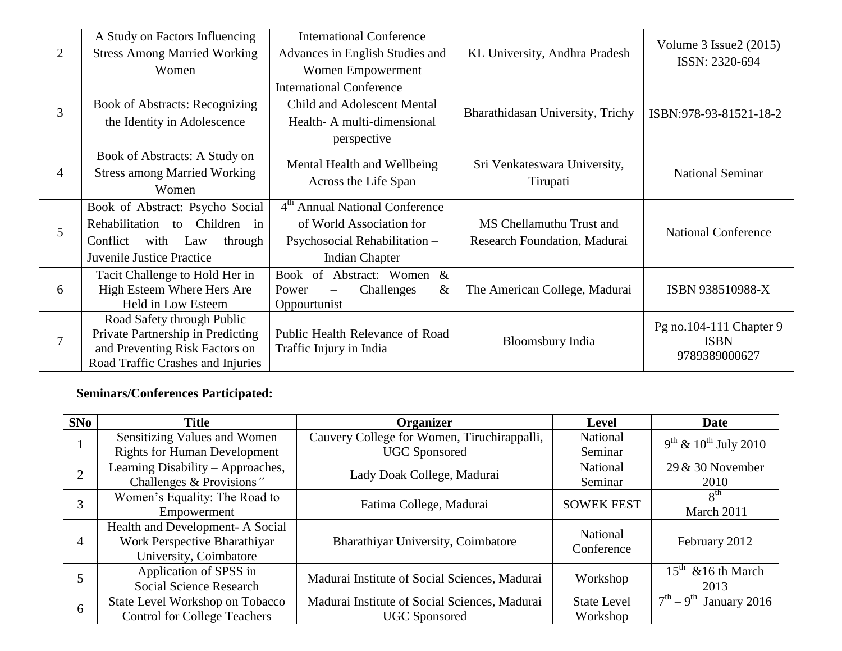|                | A Study on Factors Influencing        | <b>International Conference</b>                         |                                  | Volume $3$ Issue $2(2015)$ |  |
|----------------|---------------------------------------|---------------------------------------------------------|----------------------------------|----------------------------|--|
| $\overline{2}$ | <b>Stress Among Married Working</b>   | Advances in English Studies and                         | KL University, Andhra Pradesh    | ISSN: 2320-694             |  |
|                | Women                                 | Women Empowerment                                       |                                  |                            |  |
|                |                                       | <b>International Conference</b>                         |                                  |                            |  |
| 3              | <b>Book of Abstracts: Recognizing</b> | <b>Child and Adolescent Mental</b>                      |                                  |                            |  |
|                | the Identity in Adolescence           | Health-A multi-dimensional                              | Bharathidasan University, Trichy | ISBN:978-93-81521-18-2     |  |
|                |                                       | perspective                                             |                                  |                            |  |
|                | Book of Abstracts: A Study on         | Mental Health and Wellbeing                             | Sri Venkateswara University,     |                            |  |
| 4              | <b>Stress among Married Working</b>   | Across the Life Span                                    | Tirupati                         | <b>National Seminar</b>    |  |
|                | Women                                 |                                                         |                                  |                            |  |
|                | Book of Abstract: Psycho Social       | 4 <sup>th</sup> Annual National Conference              |                                  |                            |  |
| 5              | Rehabilitation to Children<br>in      | of World Association for                                | MS Chellamuthu Trust and         | <b>National Conference</b> |  |
|                | Conflict<br>with Law<br>through       | Psychosocial Rehabilitation -                           | Research Foundation, Madurai     |                            |  |
|                | Juvenile Justice Practice             | <b>Indian Chapter</b>                                   |                                  |                            |  |
|                | Tacit Challenge to Hold Her in        | Book of Abstract: Women<br>$\&$                         |                                  |                            |  |
| 6              | High Esteem Where Hers Are            | $\&$<br>Challenges<br>Power<br>$\overline{\phantom{0}}$ | The American College, Madurai    | ISBN 938510988-X           |  |
|                | Held in Low Esteem                    | Oppourtunist                                            |                                  |                            |  |
|                | Road Safety through Public            |                                                         |                                  | Pg no.104-111 Chapter 9    |  |
| 7              | Private Partnership in Predicting     | Public Health Relevance of Road                         | <b>Bloomsbury India</b>          | <b>ISBN</b>                |  |
|                | and Preventing Risk Factors on        | Traffic Injury in India                                 |                                  | 9789389000627              |  |
|                | Road Traffic Crashes and Injuries     |                                                         |                                  |                            |  |

# **Seminars/Conferences Participated:**

| SNo | <b>Title</b>                                                                               | Organizer                                                             | Level                          | Date                                         |
|-----|--------------------------------------------------------------------------------------------|-----------------------------------------------------------------------|--------------------------------|----------------------------------------------|
|     | Sensitizing Values and Women<br><b>Rights for Human Development</b>                        | Cauvery College for Women, Tiruchirappalli,<br><b>UGC</b> Sponsored   | National<br>Seminar            | $9th$ & $10th$ July 2010                     |
|     | Learning Disability – Approaches,<br>Challenges & Provisions"                              | Lady Doak College, Madurai                                            | National<br>Seminar            | $29 & 30$ November<br>2010                   |
| 3   | Women's Equality: The Road to<br>Empowerment                                               | Fatima College, Madurai                                               | <b>SOWEK FEST</b>              | 8 <sup>th</sup><br>March 2011                |
|     | Health and Development- A Social<br>Work Perspective Bharathiyar<br>University, Coimbatore | Bharathiyar University, Coimbatore                                    | National<br>Conference         | February 2012                                |
|     | Application of SPSS in<br>Social Science Research                                          | Madurai Institute of Social Sciences, Madurai                         | Workshop                       | $15th$ & 16 th March<br>2013                 |
| 6   | State Level Workshop on Tobacco<br><b>Control for College Teachers</b>                     | Madurai Institute of Social Sciences, Madurai<br><b>UGC</b> Sponsored | <b>State Level</b><br>Workshop | $\overline{7^{th}} - 9^{th}$<br>January 2016 |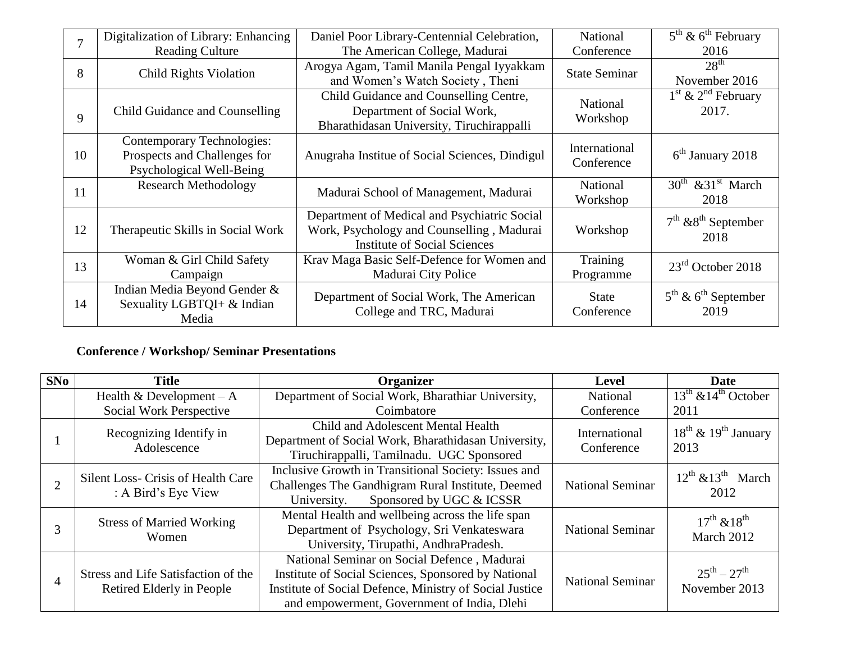|                | Digitalization of Library: Enhancing                                                   | Daniel Poor Library-Centennial Celebration,                                                                                      | <b>National</b>             | $5th$ & $6th$ February                              |
|----------------|----------------------------------------------------------------------------------------|----------------------------------------------------------------------------------------------------------------------------------|-----------------------------|-----------------------------------------------------|
| $\overline{7}$ | <b>Reading Culture</b>                                                                 | The American College, Madurai                                                                                                    | Conference                  | 2016                                                |
| 8              | <b>Child Rights Violation</b>                                                          | Arogya Agam, Tamil Manila Pengal Iyyakkam<br>and Women's Watch Society, Theni                                                    | <b>State Seminar</b>        | 28 <sup>th</sup><br>November 2016                   |
| 9              | Child Guidance and Counselling                                                         | Child Guidance and Counselling Centre,<br>Department of Social Work,<br>Bharathidasan University, Tiruchirappalli                | National<br>Workshop        | $1st$ & $2nd$ February<br>2017.                     |
| 10             | Contemporary Technologies:<br>Prospects and Challenges for<br>Psychological Well-Being | Anugraha Institue of Social Sciences, Dindigul                                                                                   | International<br>Conference | $6th$ January 2018                                  |
| 11             | <b>Research Methodology</b>                                                            | Madurai School of Management, Madurai                                                                                            | <b>National</b><br>Workshop | $30^{th}$ & $31^{st}$ March<br>2018                 |
| 12             | Therapeutic Skills in Social Work                                                      | Department of Medical and Psychiatric Social<br>Work, Psychology and Counselling, Madurai<br><b>Institute of Social Sciences</b> | Workshop                    | $7th$ & $8th$ September<br>2018                     |
| 13             | Woman & Girl Child Safety<br>Campaign                                                  | Krav Maga Basic Self-Defence for Women and<br>Madurai City Police                                                                | Training<br>Programme       | $23rd$ October 2018                                 |
| 14             | Indian Media Beyond Gender &<br>Sexuality LGBTQI+ & Indian<br>Media                    | Department of Social Work, The American<br>College and TRC, Madurai                                                              | <b>State</b><br>Conference  | $5^{\text{th}}$ & $6^{\text{th}}$ September<br>2019 |

## **Conference / Workshop/ Seminar Presentations**

| SNo | <b>Title</b>                                                                                                                                                                         | Organizer                                                                                                                                                                                                    | Level                   | <b>Date</b>                                         |
|-----|--------------------------------------------------------------------------------------------------------------------------------------------------------------------------------------|--------------------------------------------------------------------------------------------------------------------------------------------------------------------------------------------------------------|-------------------------|-----------------------------------------------------|
|     | Health & Development $-A$                                                                                                                                                            | Department of Social Work, Bharathiar University,                                                                                                                                                            |                         | $13th$ & $14th$ October                             |
|     | Social Work Perspective                                                                                                                                                              | Coimbatore                                                                                                                                                                                                   | Conference              | 2011                                                |
|     | Recognizing Identify in<br>Adolescence                                                                                                                                               | Child and Adolescent Mental Health<br>International<br>Department of Social Work, Bharathidasan University,<br>Conference<br>Tiruchirappalli, Tamilnadu. UGC Sponsored                                       |                         | $18^{\text{th}}$ & $19^{\text{th}}$ January<br>2013 |
|     | Silent Loss- Crisis of Health Care<br>: A Bird's Eye View                                                                                                                            | Inclusive Growth in Transitional Society: Issues and<br>Challenges The Gandhigram Rural Institute, Deemed<br><b>National Seminar</b><br>Sponsored by UGC & ICSSR<br>University.                              |                         | $12^{th}$ & $13^{th}$ March<br>2012                 |
|     | Mental Health and wellbeing across the life span<br><b>Stress of Married Working</b><br>Department of Psychology, Sri Venkateswara<br>Women<br>University, Tirupathi, AndhraPradesh. |                                                                                                                                                                                                              | <b>National Seminar</b> | $17^{th}$ & $18^{th}$<br>March 2012                 |
|     | Stress and Life Satisfaction of the<br>Retired Elderly in People                                                                                                                     | National Seminar on Social Defence, Madurai<br>Institute of Social Sciences, Sponsored by National<br>Institute of Social Defence, Ministry of Social Justice<br>and empowerment, Government of India, Dlehi | <b>National Seminar</b> | $25^{th} - 27^{th}$<br>November 2013                |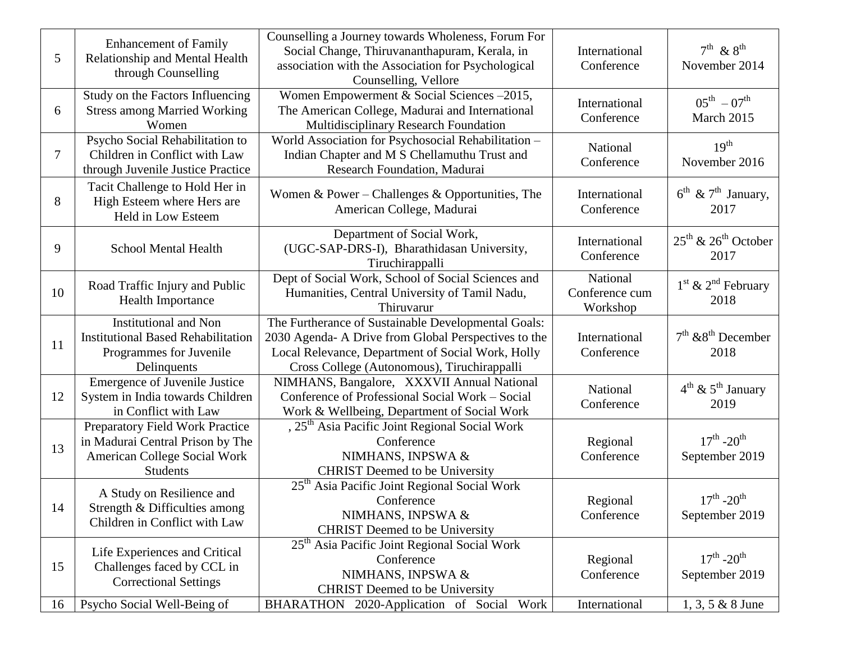| $5\overline{)}$ | <b>Enhancement of Family</b><br>Relationship and Mental Health<br>through Counselling                                  | Counselling a Journey towards Wholeness, Forum For<br>Social Change, Thiruvananthapuram, Kerala, in<br>association with the Association for Psychological<br>Counselling, Vellore                               |                                        | $7th$ & $8th$<br>November 2014                      |
|-----------------|------------------------------------------------------------------------------------------------------------------------|-----------------------------------------------------------------------------------------------------------------------------------------------------------------------------------------------------------------|----------------------------------------|-----------------------------------------------------|
| 6               | Study on the Factors Influencing<br><b>Stress among Married Working</b><br>Women                                       | Women Empowerment & Social Sciences -2015,<br>The American College, Madurai and International<br>Multidisciplinary Research Foundation                                                                          | International<br>Conference            | $05^{\text{th}} - 07^{\text{th}}$<br>March 2015     |
| $\overline{7}$  | Psycho Social Rehabilitation to<br>Children in Conflict with Law<br>through Juvenile Justice Practice                  | World Association for Psychosocial Rehabilitation -<br>Indian Chapter and M S Chellamuthu Trust and<br>Research Foundation, Madurai                                                                             | National<br>Conference                 | 19 <sup>th</sup><br>November 2016                   |
| 8               | Tacit Challenge to Hold Her in<br>High Esteem where Hers are<br>Held in Low Esteem                                     | Women & Power – Challenges & Opportunities, The<br>American College, Madurai                                                                                                                                    | International<br>Conference            | $6^{\text{th}}$ & $7^{\text{th}}$ January,<br>2017  |
| 9               | <b>School Mental Health</b>                                                                                            | Department of Social Work,<br>(UGC-SAP-DRS-I), Bharathidasan University,<br>Tiruchirappalli                                                                                                                     | International<br>Conference            | $25^{\text{th}}$ & $26^{\text{th}}$ October<br>2017 |
| 10              | Road Traffic Injury and Public<br>Health Importance                                                                    | Dept of Social Work, School of Social Sciences and<br>Humanities, Central University of Tamil Nadu,<br>Thiruvarur                                                                                               | National<br>Conference cum<br>Workshop | $1st$ & $2nd$ February<br>2018                      |
| 11              | <b>Institutional and Non</b><br><b>Institutional Based Rehabilitation</b><br>Programmes for Juvenile<br>Delinquents    | The Furtherance of Sustainable Developmental Goals:<br>2030 Agenda- A Drive from Global Perspectives to the<br>Local Relevance, Department of Social Work, Holly<br>Cross College (Autonomous), Tiruchirappalli | International<br>Conference            | $7th$ & $8th$ December<br>2018                      |
| 12              | Emergence of Juvenile Justice<br>System in India towards Children<br>in Conflict with Law                              | NIMHANS, Bangalore, XXXVII Annual National<br>Conference of Professional Social Work - Social<br>Work & Wellbeing, Department of Social Work                                                                    | National<br>Conference                 | $4^{\text{th}}$ & $5^{\text{th}}$ January<br>2019   |
| 13              | Preparatory Field Work Practice<br>in Madurai Central Prison by The<br>American College Social Work<br><b>Students</b> | , 25 <sup>th</sup> Asia Pacific Joint Regional Social Work<br>Conference<br>NIMHANS, INPSWA &<br><b>CHRIST</b> Deemed to be University                                                                          | Regional<br>Conference                 | $17^{th}$ -20 <sup>th</sup><br>September 2019       |
| 14              | A Study on Resilience and<br>Strength & Difficulties among<br>Children in Conflict with Law                            | 25 <sup>th</sup> Asia Pacific Joint Regional Social Work<br>Conference<br>NIMHANS, INPSWA &<br><b>CHRIST</b> Deemed to be University                                                                            | Regional<br>Conference                 | $17^{th}$ -20 <sup>th</sup><br>September 2019       |
| 15              | Life Experiences and Critical<br>Challenges faced by CCL in<br><b>Correctional Settings</b>                            | 25 <sup>th</sup> Asia Pacific Joint Regional Social Work<br>Conference<br>NIMHANS, INPSWA &<br><b>CHRIST</b> Deemed to be University                                                                            | Regional<br>Conference                 | $17^{th}$ -20 <sup>th</sup><br>September 2019       |
| 16              | Psycho Social Well-Being of                                                                                            | BHARATHON 2020-Application of Social<br>Work                                                                                                                                                                    | International                          | $1, 3, 5 \& 8$ June                                 |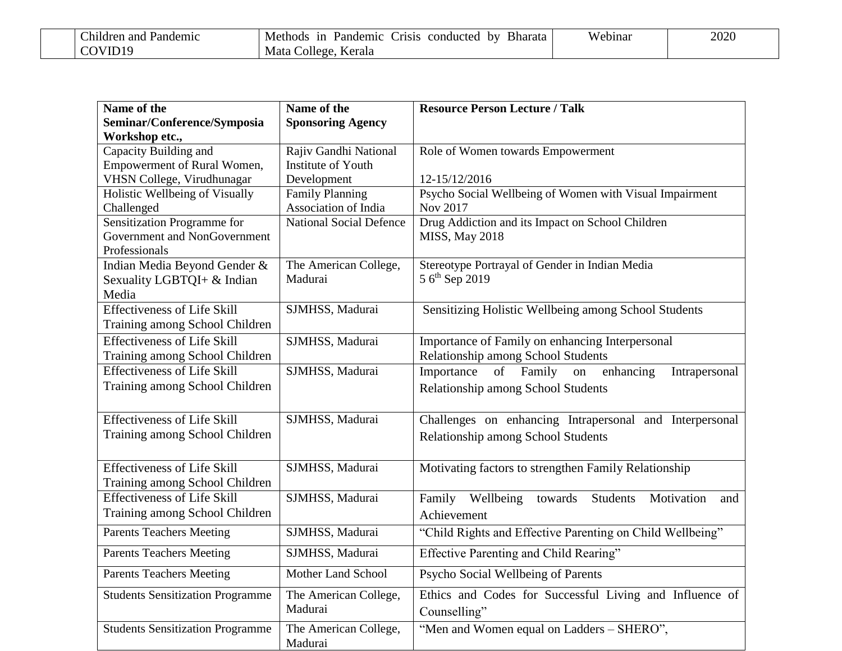| :hildren and<br>Pandemic | Bharata<br>Methods<br>1n<br>by<br>. 11S1S<br>Pandemic<br>conducted | <i>N</i> ebinar | 2020 |
|--------------------------|--------------------------------------------------------------------|-----------------|------|
|                          | Mata<br>Kerala<br>$\bigcirc$ offere                                |                 |      |

| Name of the<br>Seminar/Conference/Symposia<br>Workshop etc., | Name of the<br><b>Sponsoring Agency</b> | <b>Resource Person Lecture / Talk</b>                           |
|--------------------------------------------------------------|-----------------------------------------|-----------------------------------------------------------------|
| Capacity Building and                                        | Rajiv Gandhi National                   | Role of Women towards Empowerment                               |
| Empowerment of Rural Women,                                  | Institute of Youth                      |                                                                 |
| VHSN College, Virudhunagar                                   | Development                             | 12-15/12/2016                                                   |
| Holistic Wellbeing of Visually                               | <b>Family Planning</b>                  | Psycho Social Wellbeing of Women with Visual Impairment         |
| Challenged                                                   | Association of India                    | Nov 2017                                                        |
| Sensitization Programme for                                  | <b>National Social Defence</b>          | Drug Addiction and its Impact on School Children                |
| Government and NonGovernment                                 |                                         | <b>MISS, May 2018</b>                                           |
| Professionals                                                |                                         |                                                                 |
| Indian Media Beyond Gender &                                 | The American College,                   | Stereotype Portrayal of Gender in Indian Media                  |
| Sexuality LGBTQI+ & Indian                                   | Madurai                                 | $56^{\text{th}}$ Sep 2019                                       |
| Media                                                        |                                         |                                                                 |
| <b>Effectiveness of Life Skill</b>                           | SJMHSS, Madurai                         | Sensitizing Holistic Wellbeing among School Students            |
| Training among School Children                               |                                         |                                                                 |
| <b>Effectiveness of Life Skill</b>                           | SJMHSS, Madurai                         | Importance of Family on enhancing Interpersonal                 |
| Training among School Children                               |                                         | Relationship among School Students                              |
| <b>Effectiveness of Life Skill</b>                           | SJMHSS, Madurai                         | Importance<br>of Family<br>enhancing<br>Intrapersonal<br>on     |
| Training among School Children                               |                                         | Relationship among School Students                              |
| <b>Effectiveness of Life Skill</b>                           | SJMHSS, Madurai                         | Challenges on enhancing Intrapersonal and Interpersonal         |
| Training among School Children                               |                                         | Relationship among School Students                              |
| <b>Effectiveness of Life Skill</b>                           | SJMHSS, Madurai                         | Motivating factors to strengthen Family Relationship            |
| Training among School Children                               |                                         |                                                                 |
| <b>Effectiveness of Life Skill</b>                           | SJMHSS, Madurai                         | Family<br>Wellbeing<br>Students<br>towards<br>Motivation<br>and |
| Training among School Children                               |                                         | Achievement                                                     |
| <b>Parents Teachers Meeting</b>                              | SJMHSS, Madurai                         | "Child Rights and Effective Parenting on Child Wellbeing"       |
| <b>Parents Teachers Meeting</b>                              | SJMHSS, Madurai                         | Effective Parenting and Child Rearing"                          |
| <b>Parents Teachers Meeting</b>                              | Mother Land School                      | Psycho Social Wellbeing of Parents                              |
| <b>Students Sensitization Programme</b>                      | The American College,                   | Ethics and Codes for Successful Living and Influence of         |
|                                                              | Madurai                                 | Counselling"                                                    |
| <b>Students Sensitization Programme</b>                      | The American College,                   | "Men and Women equal on Ladders - SHERO",                       |
|                                                              | Madurai                                 |                                                                 |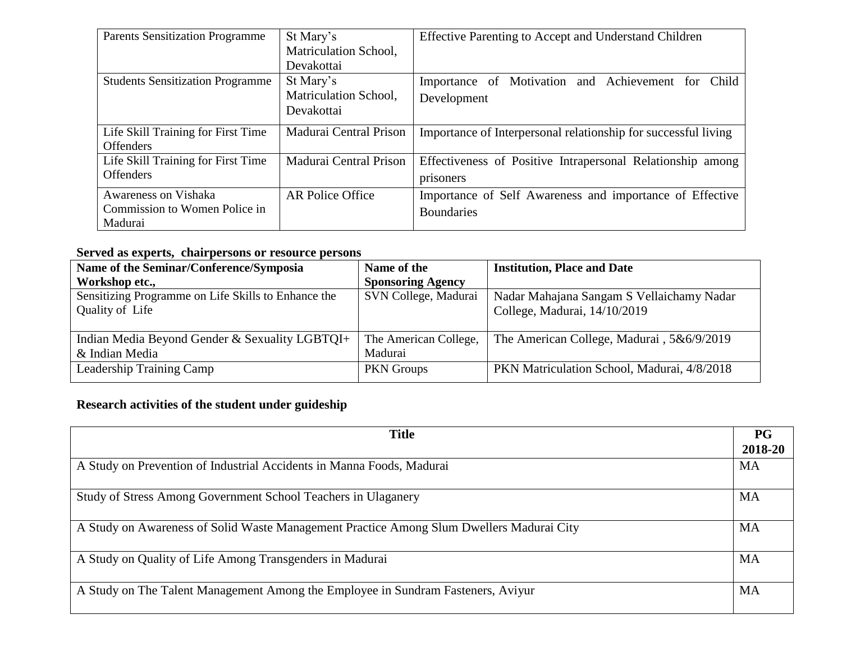| <b>Parents Sensitization Programme</b>  | St Mary's               | Effective Parenting to Accept and Understand Children          |
|-----------------------------------------|-------------------------|----------------------------------------------------------------|
|                                         | Matriculation School,   |                                                                |
|                                         | Devakottai              |                                                                |
| <b>Students Sensitization Programme</b> | St Mary's               | Importance of Motivation and Achievement for Child             |
|                                         | Matriculation School,   | Development                                                    |
|                                         | Devakottai              |                                                                |
| Life Skill Training for First Time      | Madurai Central Prison  | Importance of Interpersonal relationship for successful living |
| <b>Offenders</b>                        |                         |                                                                |
| Life Skill Training for First Time      | Madurai Central Prison  | Effectiveness of Positive Intrapersonal Relationship among     |
| <b>Offenders</b>                        |                         | prisoners                                                      |
| Awareness on Vishaka                    | <b>AR Police Office</b> | Importance of Self Awareness and importance of Effective       |
| Commission to Women Police in           |                         | <b>Boundaries</b>                                              |
| Madurai                                 |                         |                                                                |

# **Served as experts, chairpersons or resource persons**

| Name of the Seminar/Conference/Symposia             | Name of the              | <b>Institution, Place and Date</b>          |
|-----------------------------------------------------|--------------------------|---------------------------------------------|
| Workshop etc.,                                      | <b>Sponsoring Agency</b> |                                             |
| Sensitizing Programme on Life Skills to Enhance the | SVN College, Madurai     | Nadar Mahajana Sangam S Vellaichamy Nadar   |
| Quality of Life                                     |                          | College, Madurai, 14/10/2019                |
|                                                     |                          |                                             |
| Indian Media Beyond Gender & Sexuality LGBTQI+      | The American College,    | The American College, Madurai, 5&6/9/2019   |
| & Indian Media                                      | Madurai                  |                                             |
| Leadership Training Camp                            | <b>PKN</b> Groups        | PKN Matriculation School, Madurai, 4/8/2018 |
|                                                     |                          |                                             |

# **Research activities of the student under guideship**

| <b>Title</b>                                                                             | <b>PG</b> |
|------------------------------------------------------------------------------------------|-----------|
|                                                                                          | 2018-20   |
| A Study on Prevention of Industrial Accidents in Manna Foods, Madurai                    | MA        |
|                                                                                          |           |
| Study of Stress Among Government School Teachers in Ulaganery                            | MA        |
|                                                                                          |           |
| A Study on Awareness of Solid Waste Management Practice Among Slum Dwellers Madurai City | MA        |
|                                                                                          |           |
| A Study on Quality of Life Among Transgenders in Madurai                                 | MA        |
|                                                                                          |           |
| A Study on The Talent Management Among the Employee in Sundram Fasteners, Aviyur         | <b>MA</b> |
|                                                                                          |           |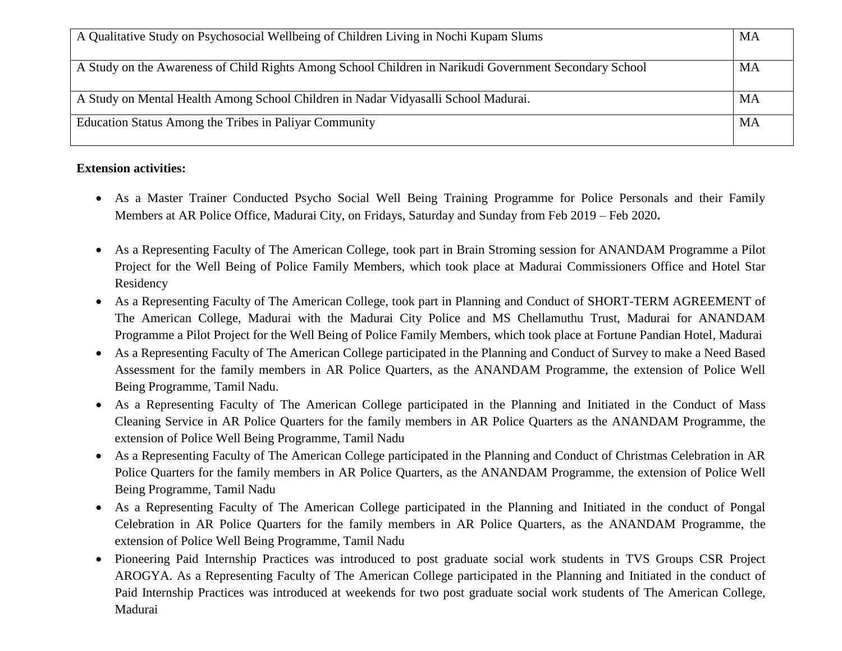| A Qualitative Study on Psychosocial Wellbeing of Children Living in Nochi Kupam Slums                  | MA |
|--------------------------------------------------------------------------------------------------------|----|
| A Study on the Awareness of Child Rights Among School Children in Narikudi Government Secondary School | MA |
| A Study on Mental Health Among School Children in Nadar Vidyasalli School Madurai.                     | MA |
| Education Status Among the Tribes in Paliyar Community                                                 | MA |

## **Extension activities:**

- As a Master Trainer Conducted Psycho Social Well Being Training Programme for Police Personals and their Family Members at AR Police Office, Madurai City, on Fridays, Saturday and Sunday from Feb 2019 – Feb 2020**.**
- As a Representing Faculty of The American College, took part in Brain Stroming session for ANANDAM Programme a Pilot Project for the Well Being of Police Family Members, which took place at Madurai Commissioners Office and Hotel Star Residency
- As a Representing Faculty of The American College, took part in Planning and Conduct of SHORT-TERM AGREEMENT of The American College, Madurai with the Madurai City Police and MS Chellamuthu Trust, Madurai for ANANDAM Programme a Pilot Project for the Well Being of Police Family Members, which took place at Fortune Pandian Hotel, Madurai
- As a Representing Faculty of The American College participated in the Planning and Conduct of Survey to make a Need Based Assessment for the family members in AR Police Quarters, as the ANANDAM Programme, the extension of Police Well Being Programme, Tamil Nadu.
- As a Representing Faculty of The American College participated in the Planning and Initiated in the Conduct of Mass Cleaning Service in AR Police Quarters for the family members in AR Police Quarters as the ANANDAM Programme, the extension of Police Well Being Programme, Tamil Nadu
- As a Representing Faculty of The American College participated in the Planning and Conduct of Christmas Celebration in AR Police Quarters for the family members in AR Police Quarters, as the ANANDAM Programme, the extension of Police Well Being Programme, Tamil Nadu
- As a Representing Faculty of The American College participated in the Planning and Initiated in the conduct of Pongal Celebration in AR Police Quarters for the family members in AR Police Quarters, as the ANANDAM Programme, the extension of Police Well Being Programme, Tamil Nadu
- Pioneering Paid Internship Practices was introduced to post graduate social work students in TVS Groups CSR Project AROGYA. As a Representing Faculty of The American College participated in the Planning and Initiated in the conduct of Paid Internship Practices was introduced at weekends for two post graduate social work students of The American College, Madurai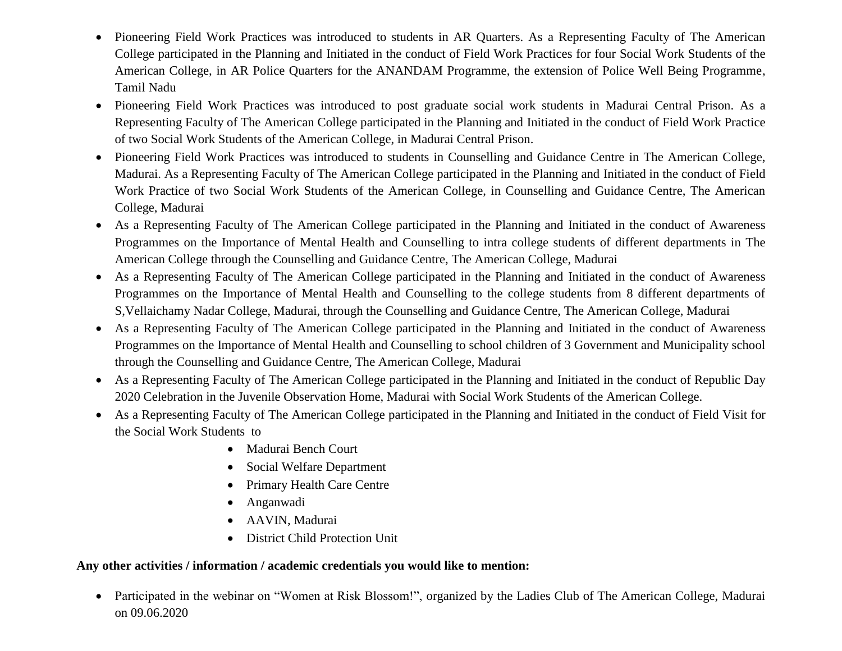- Pioneering Field Work Practices was introduced to students in AR Quarters. As a Representing Faculty of The American College participated in the Planning and Initiated in the conduct of Field Work Practices for four Social Work Students of the American College, in AR Police Quarters for the ANANDAM Programme, the extension of Police Well Being Programme, Tamil Nadu
- Pioneering Field Work Practices was introduced to post graduate social work students in Madurai Central Prison. As a Representing Faculty of The American College participated in the Planning and Initiated in the conduct of Field Work Practice of two Social Work Students of the American College, in Madurai Central Prison.
- Pioneering Field Work Practices was introduced to students in Counselling and Guidance Centre in The American College, Madurai. As a Representing Faculty of The American College participated in the Planning and Initiated in the conduct of Field Work Practice of two Social Work Students of the American College, in Counselling and Guidance Centre, The American College, Madurai
- As a Representing Faculty of The American College participated in the Planning and Initiated in the conduct of Awareness Programmes on the Importance of Mental Health and Counselling to intra college students of different departments in The American College through the Counselling and Guidance Centre, The American College, Madurai
- As a Representing Faculty of The American College participated in the Planning and Initiated in the conduct of Awareness Programmes on the Importance of Mental Health and Counselling to the college students from 8 different departments of S,Vellaichamy Nadar College, Madurai, through the Counselling and Guidance Centre, The American College, Madurai
- As a Representing Faculty of The American College participated in the Planning and Initiated in the conduct of Awareness Programmes on the Importance of Mental Health and Counselling to school children of 3 Government and Municipality school through the Counselling and Guidance Centre, The American College, Madurai
- As a Representing Faculty of The American College participated in the Planning and Initiated in the conduct of Republic Day 2020 Celebration in the Juvenile Observation Home, Madurai with Social Work Students of the American College.
- As a Representing Faculty of The American College participated in the Planning and Initiated in the conduct of Field Visit for the Social Work Students to
	- Madurai Bench Court
	- Social Welfare Department
	- Primary Health Care Centre
	- Anganwadi
	- AAVIN, Madurai
	- District Child Protection Unit

## **Any other activities / information / academic credentials you would like to mention:**

 Participated in the webinar on "Women at Risk Blossom!", organized by the Ladies Club of The American College, Madurai on 09.06.2020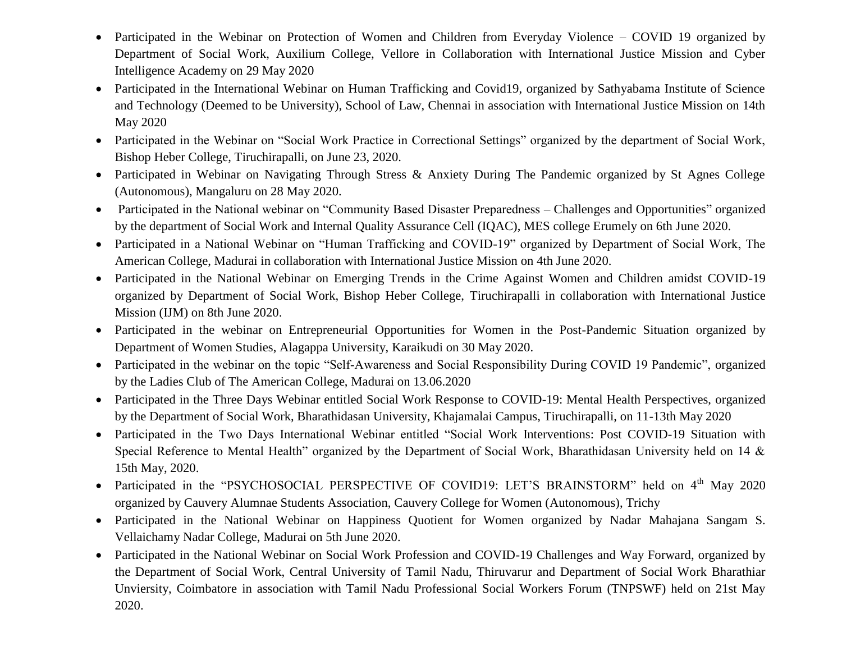- Participated in the Webinar on Protection of Women and Children from Everyday Violence COVID 19 organized by Department of Social Work, Auxilium College, Vellore in Collaboration with International Justice Mission and Cyber Intelligence Academy on 29 May 2020
- Participated in the International Webinar on Human Trafficking and Covid19, organized by Sathyabama Institute of Science and Technology (Deemed to be University), School of Law, Chennai in association with International Justice Mission on 14th May 2020
- Participated in the Webinar on "Social Work Practice in Correctional Settings" organized by the department of Social Work, Bishop Heber College, Tiruchirapalli, on June 23, 2020.
- Participated in Webinar on Navigating Through Stress & Anxiety During The Pandemic organized by St Agnes College (Autonomous), Mangaluru on 28 May 2020.
- Participated in the National webinar on "Community Based Disaster Preparedness Challenges and Opportunities" organized by the department of Social Work and Internal Quality Assurance Cell (IQAC), MES college Erumely on 6th June 2020.
- Participated in a National Webinar on "Human Trafficking and COVID-19" organized by Department of Social Work, The American College, Madurai in collaboration with International Justice Mission on 4th June 2020.
- Participated in the National Webinar on Emerging Trends in the Crime Against Women and Children amidst COVID-19 organized by Department of Social Work, Bishop Heber College, Tiruchirapalli in collaboration with International Justice Mission (IJM) on 8th June 2020.
- Participated in the webinar on Entrepreneurial Opportunities for Women in the Post-Pandemic Situation organized by Department of Women Studies, Alagappa University, Karaikudi on 30 May 2020.
- Participated in the webinar on the topic "Self-Awareness and Social Responsibility During COVID 19 Pandemic", organized by the Ladies Club of The American College, Madurai on 13.06.2020
- Participated in the Three Days Webinar entitled Social Work Response to COVID-19: Mental Health Perspectives, organized by the Department of Social Work, Bharathidasan University, Khajamalai Campus, Tiruchirapalli, on 11-13th May 2020
- Participated in the Two Days International Webinar entitled "Social Work Interventions: Post COVID-19 Situation with Special Reference to Mental Health" organized by the Department of Social Work, Bharathidasan University held on 14 & 15th May, 2020.
- Participated in the "PSYCHOSOCIAL PERSPECTIVE OF COVID19: LET'S BRAINSTORM" held on 4<sup>th</sup> May 2020 organized by Cauvery Alumnae Students Association, Cauvery College for Women (Autonomous), Trichy
- Participated in the National Webinar on Happiness Quotient for Women organized by Nadar Mahajana Sangam S. Vellaichamy Nadar College, Madurai on 5th June 2020.
- Participated in the National Webinar on Social Work Profession and COVID-19 Challenges and Way Forward, organized by the Department of Social Work, Central University of Tamil Nadu, Thiruvarur and Department of Social Work Bharathiar Unviersity, Coimbatore in association with Tamil Nadu Professional Social Workers Forum (TNPSWF) held on 21st May 2020.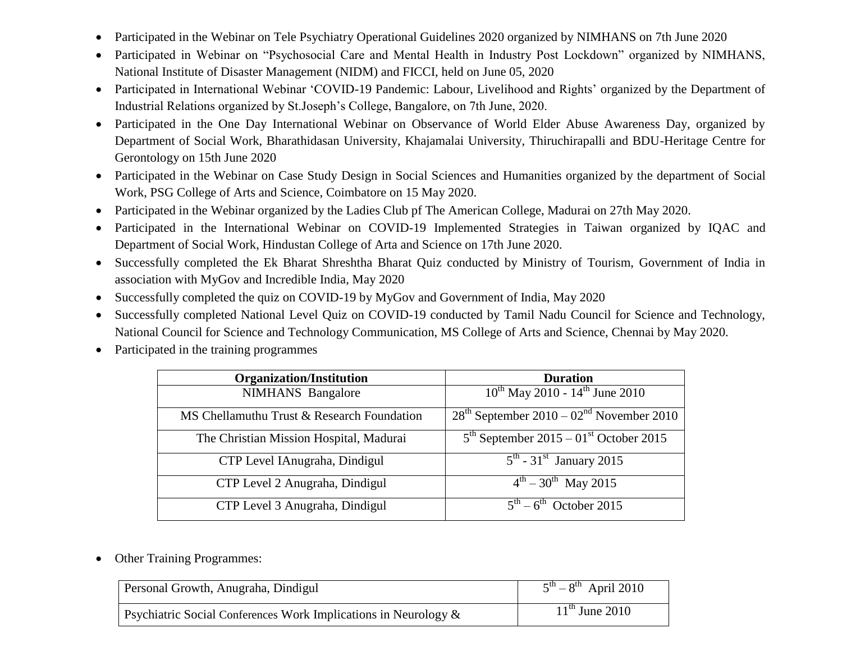- Participated in the Webinar on Tele Psychiatry Operational Guidelines 2020 organized by NIMHANS on 7th June 2020
- Participated in Webinar on "Psychosocial Care and Mental Health in Industry Post Lockdown" organized by NIMHANS, National Institute of Disaster Management (NIDM) and FICCI, held on June 05, 2020
- Participated in International Webinar 'COVID-19 Pandemic: Labour, Livelihood and Rights' organized by the Department of Industrial Relations organized by St.Joseph"s College, Bangalore, on 7th June, 2020.
- Participated in the One Day International Webinar on Observance of World Elder Abuse Awareness Day, organized by Department of Social Work, Bharathidasan University, Khajamalai University, Thiruchirapalli and BDU-Heritage Centre for Gerontology on 15th June 2020
- Participated in the Webinar on Case Study Design in Social Sciences and Humanities organized by the department of Social Work, PSG College of Arts and Science, Coimbatore on 15 May 2020.
- Participated in the Webinar organized by the Ladies Club pf The American College, Madurai on 27th May 2020.
- Participated in the International Webinar on COVID-19 Implemented Strategies in Taiwan organized by IQAC and Department of Social Work, Hindustan College of Arta and Science on 17th June 2020.
- Successfully completed the Ek Bharat Shreshtha Bharat Quiz conducted by Ministry of Tourism, Government of India in association with MyGov and Incredible India, May 2020
- Successfully completed the quiz on COVID-19 by MyGov and Government of India, May 2020
- Successfully completed National Level Quiz on COVID-19 conducted by Tamil Nadu Council for Science and Technology, National Council for Science and Technology Communication, MS College of Arts and Science, Chennai by May 2020.
- Participated in the training programmes

| <b>Organization/Institution</b>            | <b>Duration</b>                                        |
|--------------------------------------------|--------------------------------------------------------|
| <b>NIMHANS</b> Bangalore                   | $10^{th}$ May 2010 - $14^{th}$ June 2010               |
| MS Chellamuthu Trust & Research Foundation | $28th$ September 2010 – 02 <sup>nd</sup> November 2010 |
| The Christian Mission Hospital, Madurai    | $5th$ September 2015 – 01 <sup>st</sup> October 2015   |
| CTP Level IAnugraha, Dindigul              | $5^{\text{th}}$ - 31 <sup>st</sup> January 2015        |
| CTP Level 2 Anugraha, Dindigul             | $4^{\text{th}} - 30^{\text{th}}$ May 2015              |
| CTP Level 3 Anugraha, Dindigul             | $5th - 6th$ October 2015                               |

• Other Training Programmes:

| Personal Growth, Anugraha, Dindigul                                | $5^{th} - 8^{th}$ April 2010 |
|--------------------------------------------------------------------|------------------------------|
| Psychiatric Social Conferences Work Implications in Neurology $\&$ | $11^{th}$ June 2010          |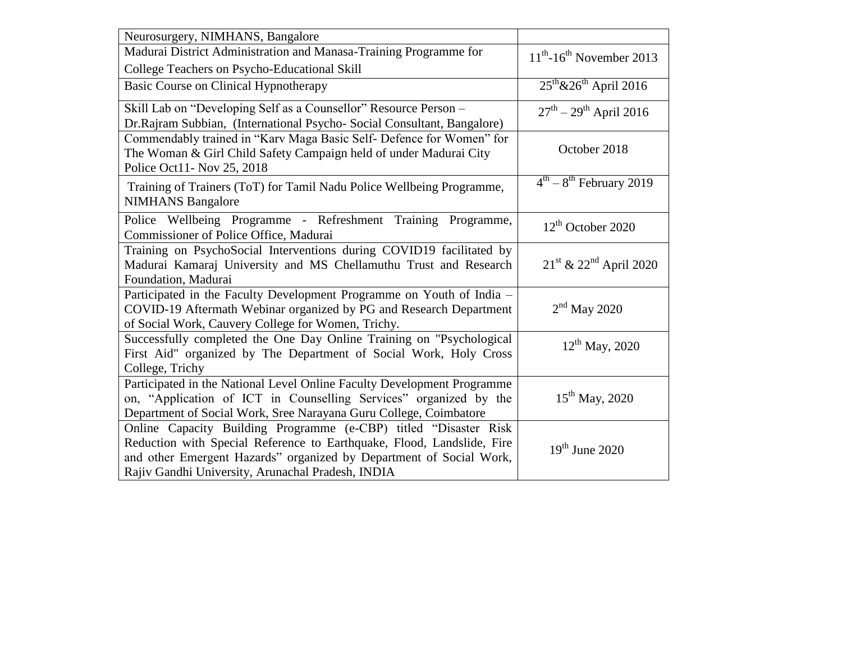| Neurosurgery, NIMHANS, Bangalore                                                                                                              |                                                |
|-----------------------------------------------------------------------------------------------------------------------------------------------|------------------------------------------------|
| Madurai District Administration and Manasa-Training Programme for                                                                             | $11th$ -16 <sup>th</sup> November 2013         |
| College Teachers on Psycho-Educational Skill                                                                                                  |                                                |
| <b>Basic Course on Clinical Hypnotherapy</b>                                                                                                  | $25^{\text{th}} \& 26^{\text{th}}$ April 2016  |
| Skill Lab on "Developing Self as a Counsellor" Resource Person -                                                                              | $27^{th} - 29^{th}$ April 2016                 |
| Dr.Rajram Subbian, (International Psycho- Social Consultant, Bangalore)                                                                       |                                                |
| Commendably trained in "Karv Maga Basic Self- Defence for Women" for                                                                          | October 2018                                   |
| The Woman & Girl Child Safety Campaign held of under Madurai City<br>Police Oct11- Nov 25, 2018                                               |                                                |
|                                                                                                                                               | $4th - 8th$ February 2019                      |
| Training of Trainers (ToT) for Tamil Nadu Police Wellbeing Programme,<br><b>NIMHANS</b> Bangalore                                             |                                                |
|                                                                                                                                               |                                                |
| Police Wellbeing Programme - Refreshment Training Programme,<br>Commissioner of Police Office, Madurai                                        | $12th$ October 2020                            |
| Training on PsychoSocial Interventions during COVID19 facilitated by                                                                          |                                                |
| Madurai Kamaraj University and MS Chellamuthu Trust and Research                                                                              | $21^{\text{st}}$ & $22^{\text{nd}}$ April 2020 |
| Foundation, Madurai                                                                                                                           |                                                |
| Participated in the Faculty Development Programme on Youth of India -                                                                         |                                                |
| COVID-19 Aftermath Webinar organized by PG and Research Department                                                                            | $2nd$ May 2020                                 |
| of Social Work, Cauvery College for Women, Trichy.                                                                                            |                                                |
| Successfully completed the One Day Online Training on "Psychological                                                                          | $12^{th}$ May, 2020                            |
| First Aid" organized by The Department of Social Work, Holy Cross                                                                             |                                                |
| College, Trichy                                                                                                                               |                                                |
| Participated in the National Level Online Faculty Development Programme                                                                       |                                                |
| on, "Application of ICT in Counselling Services" organized by the                                                                             | $15^{th}$ May, 2020                            |
| Department of Social Work, Sree Narayana Guru College, Coimbatore                                                                             |                                                |
| Online Capacity Building Programme (e-CBP) titled "Disaster Risk                                                                              |                                                |
| Reduction with Special Reference to Earthquake, Flood, Landslide, Fire<br>and other Emergent Hazards" organized by Department of Social Work, | $19th$ June 2020                               |
| Rajiv Gandhi University, Arunachal Pradesh, INDIA                                                                                             |                                                |